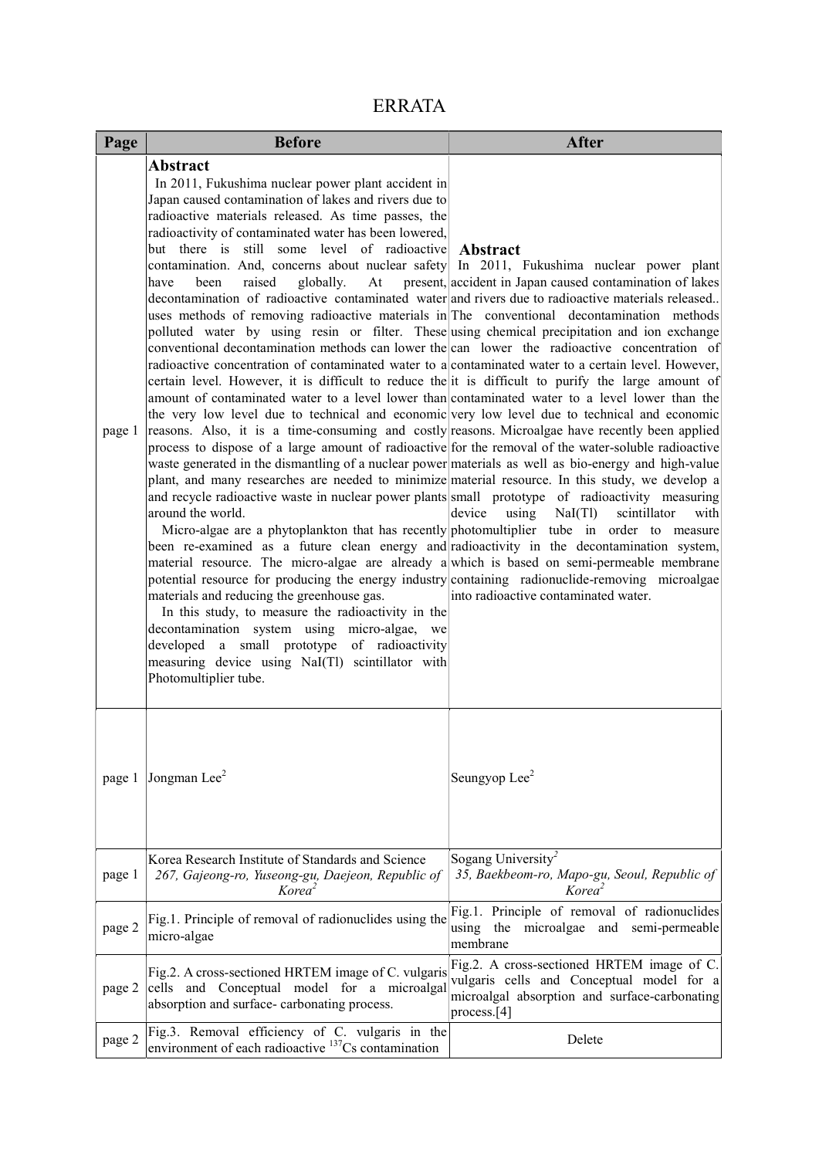| <b>ERRATA</b> |  |
|---------------|--|
|               |  |

| Page   | <b>Before</b>                                                                                                                                                                                                                                                                                                                                                                                                                                                                                                                                                                                                                                                                                                                                                                                                                                                                                                                                                                                                                                                                                                                                                                                                                                                                                                                                                                                                                                                                                                                                                                                                                                                                                                                                                                                                                                                                                                                                                                                                                                                                                                                                                                                                                                                                                                                                                                                                                                                                                        | <b>After</b>                                                                                                                                              |
|--------|------------------------------------------------------------------------------------------------------------------------------------------------------------------------------------------------------------------------------------------------------------------------------------------------------------------------------------------------------------------------------------------------------------------------------------------------------------------------------------------------------------------------------------------------------------------------------------------------------------------------------------------------------------------------------------------------------------------------------------------------------------------------------------------------------------------------------------------------------------------------------------------------------------------------------------------------------------------------------------------------------------------------------------------------------------------------------------------------------------------------------------------------------------------------------------------------------------------------------------------------------------------------------------------------------------------------------------------------------------------------------------------------------------------------------------------------------------------------------------------------------------------------------------------------------------------------------------------------------------------------------------------------------------------------------------------------------------------------------------------------------------------------------------------------------------------------------------------------------------------------------------------------------------------------------------------------------------------------------------------------------------------------------------------------------------------------------------------------------------------------------------------------------------------------------------------------------------------------------------------------------------------------------------------------------------------------------------------------------------------------------------------------------------------------------------------------------------------------------------------------------|-----------------------------------------------------------------------------------------------------------------------------------------------------------|
| page 1 | <b>Abstract</b><br>In 2011, Fukushima nuclear power plant accident in<br>Japan caused contamination of lakes and rivers due to<br>radioactive materials released. As time passes, the<br>radioactivity of contaminated water has been lowered,<br>but there is still some level of radioactive Abstract<br>contamination. And, concerns about nuclear safety In 2011, Fukushima nuclear power plant<br>raised<br>globally.<br>have<br>been<br>decontamination of radioactive contaminated water and rivers due to radioactive materials released<br>uses methods of removing radioactive materials in The conventional decontamination methods<br>polluted water by using resin or filter. These using chemical precipitation and ion exchange<br>conventional decontamination methods can lower the can lower the radioactive concentration of<br>radioactive concentration of contaminated water to a contaminated water to a certain level. However,<br>certain level. However, it is difficult to reduce the it is difficult to purify the large amount of<br>amount of contaminated water to a level lower than contaminated water to a level lower than the<br>the very low level due to technical and economic very low level due to technical and economic<br>reasons. Also, it is a time-consuming and costly reasons. Microalgae have recently been applied<br>process to dispose of a large amount of radioactive for the removal of the water-soluble radioactive<br>waste generated in the dismantling of a nuclear power materials as well as bio-energy and high-value<br>plant, and many researches are needed to minimize material resource. In this study, we develop a<br>and recycle radioactive waste in nuclear power plants small prototype of radioactivity measuring<br>around the world.<br>Micro-algae are a phytoplankton that has recently photomultiplier tube in order to measure<br>been re-examined as a future clean energy and radioactivity in the decontamination system,<br>material resource. The micro-algae are already a which is based on semi-permeable membrane<br>potential resource for producing the energy industry containing radionuclide-removing microalgae<br>materials and reducing the greenhouse gas.<br>In this study, to measure the radioactivity in the<br>decontamination system using micro-algae,<br>we<br>developed a small prototype of radioactivity<br>measuring device using NaI(Tl) scintillator with<br>Photomultiplier tube. | At present, accident in Japan caused contamination of lakes<br>device<br>using<br>NaI(Tl)<br>scintillator<br>with<br>into radioactive contaminated water. |
| page 1 | Jongman Lee <sup>2</sup>                                                                                                                                                                                                                                                                                                                                                                                                                                                                                                                                                                                                                                                                                                                                                                                                                                                                                                                                                                                                                                                                                                                                                                                                                                                                                                                                                                                                                                                                                                                                                                                                                                                                                                                                                                                                                                                                                                                                                                                                                                                                                                                                                                                                                                                                                                                                                                                                                                                                             | Seungyop Lee <sup>2</sup>                                                                                                                                 |
| page 1 | Korea Research Institute of Standards and Science<br>267, Gajeong-ro, Yuseong-gu, Daejeon, Republic of<br>Korea <sup>2</sup>                                                                                                                                                                                                                                                                                                                                                                                                                                                                                                                                                                                                                                                                                                                                                                                                                                                                                                                                                                                                                                                                                                                                                                                                                                                                                                                                                                                                                                                                                                                                                                                                                                                                                                                                                                                                                                                                                                                                                                                                                                                                                                                                                                                                                                                                                                                                                                         | Sogang University<br>35, Baekbeom-ro, Mapo-gu, Seoul, Republic of<br>Korea <sup>2</sup>                                                                   |
| page 2 | Fig.1. Principle of removal of radionuclides using the<br>micro-algae                                                                                                                                                                                                                                                                                                                                                                                                                                                                                                                                                                                                                                                                                                                                                                                                                                                                                                                                                                                                                                                                                                                                                                                                                                                                                                                                                                                                                                                                                                                                                                                                                                                                                                                                                                                                                                                                                                                                                                                                                                                                                                                                                                                                                                                                                                                                                                                                                                | Fig.1. Principle of removal of radionuclides<br>microalgae<br>using the<br>and<br>semi-permeable<br>membrane                                              |
| page 2 | Fig.2. A cross-sectioned HRTEM image of C. vulgaris<br>cells and Conceptual model for a microalgal<br>absorption and surface-carbonating process.                                                                                                                                                                                                                                                                                                                                                                                                                                                                                                                                                                                                                                                                                                                                                                                                                                                                                                                                                                                                                                                                                                                                                                                                                                                                                                                                                                                                                                                                                                                                                                                                                                                                                                                                                                                                                                                                                                                                                                                                                                                                                                                                                                                                                                                                                                                                                    | Fig.2. A cross-sectioned HRTEM image of C.<br>vulgaris cells and Conceptual model for a<br>microalgal absorption and surface-carbonating<br>process.[4]   |
| page 2 | Fig.3. Removal efficiency of C. vulgaris in the<br>environment of each radioactive <sup>137</sup> Cs contamination                                                                                                                                                                                                                                                                                                                                                                                                                                                                                                                                                                                                                                                                                                                                                                                                                                                                                                                                                                                                                                                                                                                                                                                                                                                                                                                                                                                                                                                                                                                                                                                                                                                                                                                                                                                                                                                                                                                                                                                                                                                                                                                                                                                                                                                                                                                                                                                   | Delete                                                                                                                                                    |